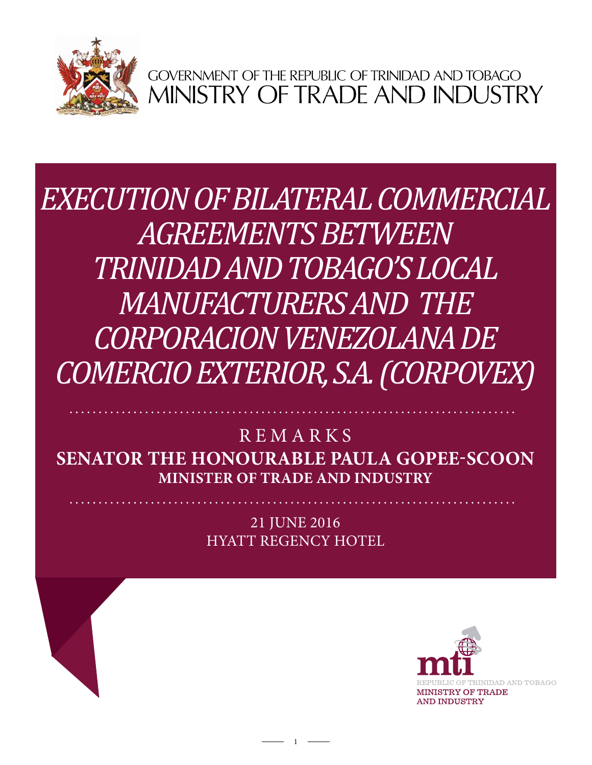

GOVERNMENT OF THE REPUBLIC OF TRINIDAD AND TOBAGO<br>MINISTRY OF TRADE AND INDUSTRY

**DMERCIO EXTERIOR, S.A. (CORPOVE)** *ARTHUOIS* STEUR *EXECUTION OF BILATERAL COMMERCIAL AGREEMENTS BETWEEN TRINIDAD AND TOBAGO'S LOCAL MANUFACTURERS AND the CORPORACION VENEZOLANA DE COMERCIO EXTERIOR, S.A. (CORPOVEX)*

**Senator the Honourable Paula Gopee-Scoon Minister of Trade and Industry REMARKS** 

> 21 June 2016 HYATT REGENCY HOTEL

> > 1

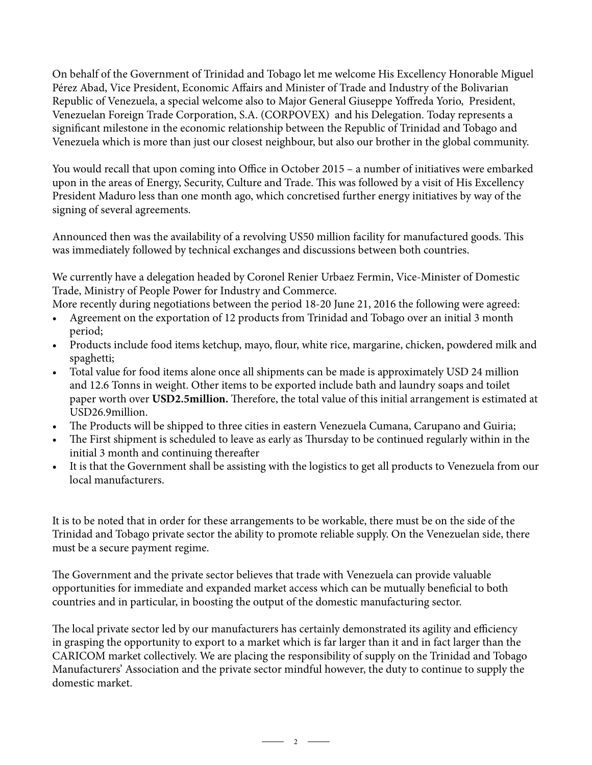On behalf of the Government of Trinidad and Tobago let me welcome His Excellency Honorable Miguel Pérez Abad, Vice President, Economic Affairs and Minister of Trade and Industry of the Bolivarian Republic of Venezuela, a special welcome also to Major General Giuseppe Yoffreda Yorio, President, Venezuelan Foreign Trade Corporation, S.A. (CORPOVEX) and his Delegation. Today represents a significant milestone in the economic relationship between the Republic of Trinidad and Tobago and Venezuela which is more than just our closest neighbour, but also our brother in the global community.

You would recall that upon coming into Office in October 2015 – a number of initiatives were embarked upon in the areas of Energy, Security, Culture and Trade. This was followed by a visit of His Excellency President Maduro less than one month ago, which concretised further energy initiatives by way of the signing of several agreements.

Announced then was the availability of a revolving US50 million facility for manufactured goods. This was immediately followed by technical exchanges and discussions between both countries.

We currently have a delegation headed by Coronel Renier Urbaez Fermin, Vice-Minister of Domestic Trade, Ministry of People Power for Industry and Commerce.

More recently during negotiations between the period 18-20 June 21, 2016 the following were agreed:

- Agreement on the exportation of 12 products from Trinidad and Tobago over an initial 3 month period;
- Products include food items ketchup, mayo, flour, white rice, margarine, chicken, powdered milk and spaghetti;
- Total value for food items alone once all shipments can be made is approximately USD 24 million and 12.6 Tonns in weight. Other items to be exported include bath and laundry soaps and toilet paper worth over **USD2.5million.** Therefore, the total value of this initial arrangement is estimated at USD26.9million.
- The Products will be shipped to three cities in eastern Venezuela Cumana, Carupano and Guiria;
- The First shipment is scheduled to leave as early as Thursday to be continued regularly within in the initial 3 month and continuing thereafter
- It is that the Government shall be assisting with the logistics to get all products to Venezuela from our local manufacturers.

It is to be noted that in order for these arrangements to be workable, there must be on the side of the Trinidad and Tobago private sector the ability to promote reliable supply. On the Venezuelan side, there must be a secure payment regime.

The Government and the private sector believes that trade with Venezuela can provide valuable opportunities for immediate and expanded market access which can be mutually beneficial to both countries and in particular, in boosting the output of the domestic manufacturing sector.

The local private sector led by our manufacturers has certainly demonstrated its agility and efficiency in grasping the opportunity to export to a market which is far larger than it and in fact larger than the CARICOM market collectively. We are placing the responsibility of supply on the Trinidad and Tobago Manufacturers' Association and the private sector mindful however, the duty to continue to supply the domestic market.

 $\overline{\phantom{a}}$  2  $\overline{\phantom{a}}$